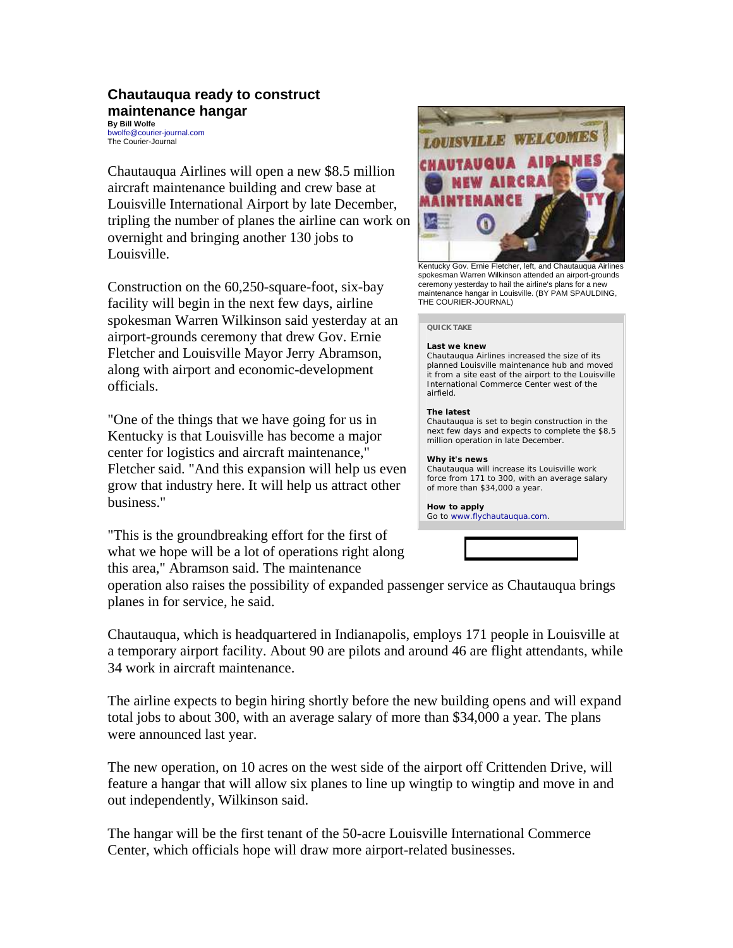# **Chautauqua ready to construct maintenance hangar**

**By Bill Wolfe** bwolfe@courier-journal.com The Courier-Journal

Chautauqua Airlines will open a new \$8.5 million aircraft maintenance building and crew base at Louisville International Airport by late December, tripling the number of planes the airline can work on overnight and bringing another 130 jobs to Louisville.

Construction on the 60,250-square-foot, six-bay facility will begin in the next few days, airline spokesman Warren Wilkinson said yesterday at an airport-grounds ceremony that drew Gov. Ernie Fletcher and Louisville Mayor Jerry Abramson, along with airport and economic-development officials.

"One of the things that we have going for us in Kentucky is that Louisville has become a major center for logistics and aircraft maintenance," Fletcher said. "And this expansion will help us even grow that industry here. It will help us attract other business."

"This is the groundbreaking effort for the first of what we hope will be a lot of operations right along this area," Abramson said. The maintenance



Kentucky Gov. Ernie Fletcher, left, and Chautauqua Airlines spokesman Warren Wilkinson attended an airport-grounds ceremony yesterday to hail the airline's plans for a new maintenance hangar in Louisville. (BY PAM SPAULDING, THE COURIER-JOURNAL)

# **QUICK TAKE**

#### **Last we knew**

Chautauqua Airlines increased the size of its planned Louisville maintenance hub and moved it from a site east of the airport to the Louisville International Commerce Center west of the airfield.

## **The latest**

Chautauqua is set to begin construction in the next few days and expects to complete the \$8.5 million operation in late December.

## **Why it's news**

Chautauqua will increase its Louisville work force from 171 to 300, with an average salary of more than \$34,000 a year.

**How to apply** Go to www.flychautauqua.com.



operation also raises the possibility of expanded passenger service as Chautauqua brings planes in for service, he said.

Chautauqua, which is headquartered in Indianapolis, employs 171 people in Louisville at a temporary airport facility. About 90 are pilots and around 46 are flight attendants, while 34 work in aircraft maintenance.

The airline expects to begin hiring shortly before the new building opens and will expand total jobs to about 300, with an average salary of more than \$34,000 a year. The plans were announced last year.

The new operation, on 10 acres on the west side of the airport off Crittenden Drive, will feature a hangar that will allow six planes to line up wingtip to wingtip and move in and out independently, Wilkinson said.

The hangar will be the first tenant of the 50-acre Louisville International Commerce Center, which officials hope will draw more airport-related businesses.